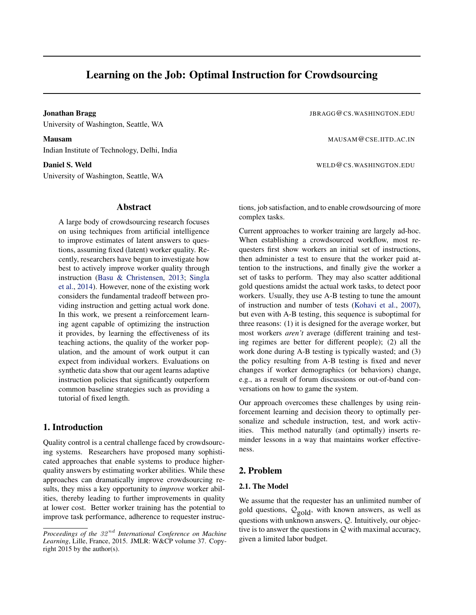# Learning on the Job: Optimal Instruction for Crowdsourcing

University of Washington, Seattle, WA

Indian Institute of Technology, Delhi, India

University of Washington, Seattle, WA

#### Abstract

A large body of crowdsourcing research focuses on using techniques from artificial intelligence to improve estimates of latent answers to questions, assuming fixed (latent) worker quality. Recently, researchers have begun to investigate how best to actively improve worker quality through instruction [\(Basu & Christensen,](#page-4-0) [2013;](#page-4-0) [Singla](#page-4-0) [et al.,](#page-4-0) [2014\)](#page-4-0). However, none of the existing work considers the fundamental tradeoff between providing instruction and getting actual work done. In this work, we present a reinforcement learning agent capable of optimizing the instruction it provides, by learning the effectiveness of its teaching actions, the quality of the worker population, and the amount of work output it can expect from individual workers. Evaluations on synthetic data show that our agent learns adaptive instruction policies that significantly outperform common baseline strategies such as providing a tutorial of fixed length.

# 1. Introduction

Quality control is a central challenge faced by crowdsourcing systems. Researchers have proposed many sophisticated approaches that enable systems to produce higherquality answers by estimating worker abilities. While these approaches can dramatically improve crowdsourcing results, they miss a key opportunity to *improve* worker abilities, thereby leading to further improvements in quality at lower cost. Better worker training has the potential to improve task performance, adherence to requester instruc-

**Jonathan Bragg Jonathan Bragg Jonathan Bragg Jonathan Bragg Jonathan Bragg Jonathan Bragg Jonathan Bragg Jonathan Bragg Jonathan Bragg Jonathan Bragg Jonathan Bragg Jonathan Bragg Jonathan Bragg Jonathan Bragg Jonathan Br** 

Mausam MAUSAM@CSE.IITD.AC.IN

Daniel S. Weld WELD@CS.WASHINGTON.EDU

tions, job satisfaction, and to enable crowdsourcing of more complex tasks.

Current approaches to worker training are largely ad-hoc. When establishing a crowdsourced workflow, most requesters first show workers an initial set of instructions, then administer a test to ensure that the worker paid attention to the instructions, and finally give the worker a set of tasks to perform. They may also scatter additional gold questions amidst the actual work tasks, to detect poor workers. Usually, they use A-B testing to tune the amount of instruction and number of tests [\(Kohavi et al.,](#page-4-0) [2007\)](#page-4-0), but even with A-B testing, this sequence is suboptimal for three reasons: (1) it is designed for the average worker, but most workers *aren't* average (different training and testing regimes are better for different people); (2) all the work done during A-B testing is typically wasted; and (3) the policy resulting from A-B testing is fixed and never changes if worker demographics (or behaviors) change, e.g., as a result of forum discussions or out-of-band conversations on how to game the system.

Our approach overcomes these challenges by using reinforcement learning and decision theory to optimally personalize and schedule instruction, test, and work activities. This method naturally (and optimally) inserts reminder lessons in a way that maintains worker effectiveness.

## 2. Problem

#### 2.1. The Model

We assume that the requester has an unlimited number of gold questions,  $\mathcal{Q}_{\text{gold}}$ , with known answers, as well as questions with unknown answers, Q. Intuitively, our objective is to answer the questions in  $Q$  with maximal accuracy, given a limited labor budget.

*Proceedings of the 32<sup>nd</sup> International Conference on Machine Learning*, Lille, France, 2015. JMLR: W&CP volume 37. Copyright 2015 by the author(s).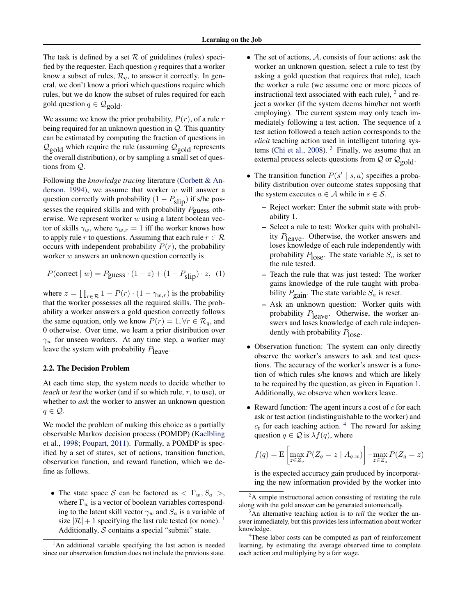<span id="page-1-0"></span>The task is defined by a set  $R$  of guidelines (rules) specified by the requester. Each question  $q$  requires that a worker know a subset of rules,  $\mathcal{R}_q$ , to answer it correctly. In general, we don't know a priori which questions require which rules, but we do know the subset of rules required for each gold question  $q \in \mathcal{Q}_{\text{gold}}$ 

We assume we know the prior probability,  $P(r)$ , of a rule r being required for an unknown question in Q. This quantity can be estimated by computing the fraction of questions in  $\mathcal{Q}_{\text{gold}}$  which require the rule (assuming  $\mathcal{Q}_{\text{gold}}$  represents the overall distribution), or by sampling a small set of questions from Q.

Following the *knowledge tracing* literature [\(Corbett & An](#page-4-0)[derson,](#page-4-0) [1994\)](#page-4-0), we assume that worker  $w$  will answer a question correctly with probability  $(1 - P_{slip})$  if s/he possesses the required skills and with probability  $P_{\text{guess}}$  otherwise. We represent worker  $w$  using a latent boolean vector of skills  $\gamma_w$ , where  $\gamma_{w,r} = 1$  iff the worker knows how to apply rule r to questions. Assuming that each rule  $r \in \mathcal{R}$ occurs with independent probability  $P(r)$ , the probability worker  $w$  answers an unknown question correctly is

$$
P(\text{correct} \mid w) = P_{\text{guess}} \cdot (1 - z) + (1 - P_{\text{slip}}) \cdot z, \tag{1}
$$

where  $z = \prod_{r \in \mathcal{R}} 1 - P(r) \cdot (1 - \gamma_{w,r})$  is the probability that the worker possesses all the required skills. The probability a worker answers a gold question correctly follows the same equation, only we know  $P(r) = 1, \forall r \in \mathcal{R}_q$ , and 0 otherwise. Over time, we learn a prior distribution over  $\gamma_w$  for unseen workers. At any time step, a worker may leave the system with probability  $P_{\text{leave}}$ .

#### 2.2. The Decision Problem

At each time step, the system needs to decide whether to *teach* or *test* the worker (and if so which rule, r, to use), or whether to *ask* the worker to answer an unknown question  $q \in \mathcal{Q}$ .

We model the problem of making this choice as a partially observable Markov decision process (POMDP) [\(Kaelbling](#page-4-0) [et al.,](#page-4-0) [1998;](#page-4-0) [Poupart,](#page-4-0) [2011\)](#page-4-0). Formally, a POMDP is specified by a set of states, set of actions, transition function, observation function, and reward function, which we define as follows.

• The state space S can be factored as  $\langle \Gamma_w, S_a \rangle$ , where  $\Gamma_w$  is a vector of boolean variables corresponding to the latent skill vector  $\gamma_w$  and  $S_a$  is a variable of size  $|\mathcal{R}| + 1$  specifying the last rule tested (or none). <sup>1</sup> Additionally,  $S$  contains a special "submit" state.

- The set of actions, A, consists of four actions: ask the worker an unknown question, select a rule to test (by asking a gold question that requires that rule), teach the worker a rule (we assume one or more pieces of instructional text associated with each rule),  $<sup>2</sup>$  and re-</sup> ject a worker (if the system deems him/her not worth employing). The current system may only teach immediately following a test action. The sequence of a test action followed a teach action corresponds to the *elicit* teaching action used in intelligent tutoring sys-tems [\(Chi et al.,](#page-4-0) [2008\)](#page-4-0).  $3$  Finally, we assume that an external process selects questions from  $Q$  or  $Q_{\text{gold}}$ .
- The transition function  $P(s' | s, a)$  specifies a probability distribution over outcome states supposing that the system executes  $a \in \mathcal{A}$  while in  $s \in \mathcal{S}$ .
	- Reject worker: Enter the submit state with probability 1.
	- Select a rule to test: Worker quits with probability  $P_{\text{leave}}$ . Otherwise, the worker answers and loses knowledge of each rule independently with probability  $P_{\text{lose}}$ . The state variable  $S_a$  is set to the rule tested.
	- Teach the rule that was just tested: The worker gains knowledge of the rule taught with probability  $P_{\text{gain}}$ . The state variable  $S_a$  is reset.
	- Ask an unknown question: Worker quits with probability  $P_{\text{leave}}$ . Otherwise, the worker answers and loses knowledge of each rule independently with probability  $P_{\text{lose}}$ .
- Observation function: The system can only directly observe the worker's answers to ask and test questions. The accuracy of the worker's answer is a function of which rules s/he knows and which are likely to be required by the question, as given in Equation 1. Additionally, we observe when workers leave.
- Reward function: The agent incurs a cost of  $c$  for each ask or test action (indistinguishable to the worker) and  $c_t$  for each teaching action.<sup>4</sup> The reward for asking question  $q \in \mathcal{Q}$  is  $\lambda f(q)$ , where

$$
f(q) = \mathcal{E}\left[\max_{z \in Z_q} P(Z_q = z \mid A_{q,w})\right] - \max_{z \in Z_q} P(Z_q = z)
$$

is the expected accuracy gain produced by incorporating the new information provided by the worker into

<sup>&</sup>lt;sup>1</sup>An additional variable specifying the last action is needed since our observation function does not include the previous state.

 ${}^{2}$ A simple instructional action consisting of restating the rule along with the gold answer can be generated automatically.

<sup>&</sup>lt;sup>3</sup>An alternative teaching action is to *tell* the worker the answer immediately, but this provides less information about worker knowledge.

These labor costs can be computed as part of reinforcement learning, by estimating the average observed time to complete each action and multiplying by a fair wage.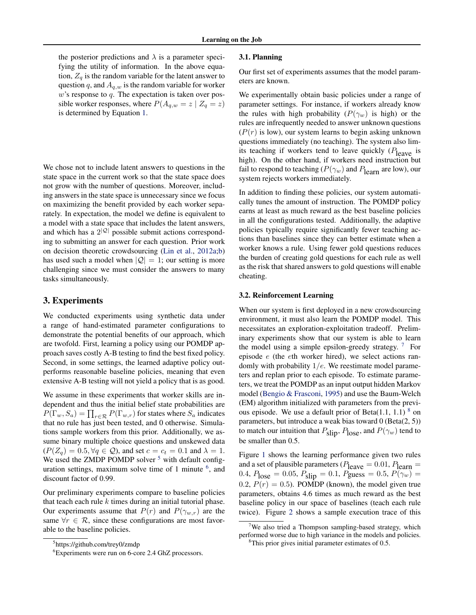the posterior predictions and  $\lambda$  is a parameter specifying the utility of information. In the above equation,  $Z_q$  is the random variable for the latent answer to question q, and  $A_{q,w}$  is the random variable for worker  $w$ 's response to  $q$ . The expectation is taken over possible worker responses, where  $P(A_{q,w} = z \mid Z_q = z)$ is determined by Equation [1.](#page-1-0)

We chose not to include latent answers to questions in the state space in the current work so that the state space does not grow with the number of questions. Moreover, including answers in the state space is unnecessary since we focus on maximizing the benefit provided by each worker separately. In expectation, the model we define is equivalent to a model with a state space that includes the latent answers, and which has a  $2^{|Q|}$  possible submit actions corresponding to submitting an answer for each question. Prior work on decision theoretic crowdsourcing [\(Lin et al.,](#page-4-0) [2012a;b\)](#page-4-0) has used such a model when  $|Q| = 1$ ; our setting is more challenging since we must consider the answers to many tasks simultaneously.

## 3. Experiments

We conducted experiments using synthetic data under a range of hand-estimated parameter configurations to demonstrate the potential benefits of our approach, which are twofold. First, learning a policy using our POMDP approach saves costly A-B testing to find the best fixed policy. Second, in some settings, the learned adaptive policy outperforms reasonable baseline policies, meaning that even extensive A-B testing will not yield a policy that is as good.

We assume in these experiments that worker skills are independent and thus the initial belief state probabilities are  $P(\Gamma_w, S_a) = \prod_{r \in \mathcal{R}} P(\Gamma_{w,r})$  for states where  $S_a$  indicates that no rule has just been tested, and 0 otherwise. Simulations sample workers from this prior. Additionally, we assume binary multiple choice questions and unskewed data  $(P(Z_q) = 0.5, \forall q \in \mathcal{Q})$ , and set  $c = c_t = 0.1$  and  $\lambda = 1$ . We used the ZMDP POMDP solver  $5$  with default configuration settings, maximum solve time of 1 minute  $6$ , and discount factor of 0.99.

Our preliminary experiments compare to baseline policies that teach each rule  $k$  times during an initial tutorial phase. Our experiments assume that  $P(r)$  and  $P(\gamma_{w,r})$  are the same  $\forall r \in \mathcal{R}$ , since these configurations are most favorable to the baseline policies.

#### 3.1. Planning

Our first set of experiments assumes that the model parameters are known.

We experimentally obtain basic policies under a range of parameter settings. For instance, if workers already know the rules with high probability  $(P(\gamma_w))$  is high) or the rules are infrequently needed to answer unknown questions  $(P(r)$  is low), our system learns to begin asking unknown questions immediately (no teaching). The system also limits teaching if workers tend to leave quickly  $(P_{\text{leave}})$  is high). On the other hand, if workers need instruction but fail to respond to teaching ( $P(\gamma_w)$  and  $P_{\text{learn}}$  are low), our system rejects workers immediately.

In addition to finding these policies, our system automatically tunes the amount of instruction. The POMDP policy earns at least as much reward as the best baseline policies in all the configurations tested. Additionally, the adaptive policies typically require significantly fewer teaching actions than baselines since they can better estimate when a worker knows a rule. Using fewer gold questions reduces the burden of creating gold questions for each rule as well as the risk that shared answers to gold questions will enable cheating.

#### 3.2. Reinforcement Learning

When our system is first deployed in a new crowdsourcing environment, it must also learn the POMDP model. This necessitates an exploration-exploitation tradeoff. Preliminary experiments show that our system is able to learn the model using a simple epsilon-greedy strategy.  $7\,$  For episode e (the eth worker hired), we select actions randomly with probability  $1/e$ . We reestimate model parameters and replan prior to each episode. To estimate parameters, we treat the POMDP as an input output hidden Markov model [\(Bengio & Frasconi,](#page-4-0) [1995\)](#page-4-0) and use the Baum-Welch (EM) algorithm initialized with parameters from the previous episode. We use a default prior of Beta $(1.1, 1.1)$ <sup>8</sup> on parameters, but introduce a weak bias toward 0 (Beta(2, 5)) to match our intuition that  $P_{slip}$ ,  $P_{lose}$ , and  $P(\gamma_w)$  tend to be smaller than 0.5.

Figure [1](#page-3-0) shows the learning performance given two rules and a set of plausible parameters ( $P_{\text{leave}} = 0.01, P_{\text{learn}} =$ 0.4,  $P_{\text{lose}} = 0.05$ ,  $P_{\text{slip}} = 0.1$ ,  $P_{\text{guess}} = 0.5$ ,  $P(\gamma_w) =$ 0.2,  $P(r) = 0.5$ ). POMDP (known), the model given true parameters, obtains 4.6 times as much reward as the best baseline policy in our space of baselines (teach each rule twice). Figure [2](#page-3-0) shows a sample execution trace of this

<sup>5</sup> https://github.com/trey0/zmdp

<sup>&</sup>lt;sup>6</sup>Experiments were run on 6-core 2.4 GhZ processors.

<sup>&</sup>lt;sup>7</sup>We also tried a Thompson sampling-based strategy, which performed worse due to high variance in the models and policies.

<sup>&</sup>lt;sup>8</sup>This prior gives initial parameter estimates of 0.5.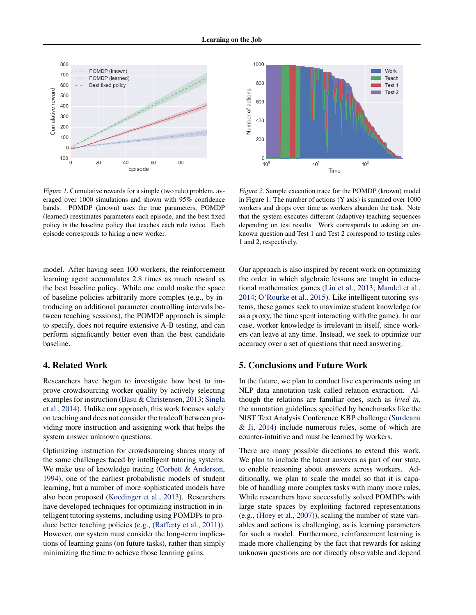<span id="page-3-0"></span>

Figure 1. Cumulative rewards for a simple (two rule) problem, averaged over 1000 simulations and shown with 95% confidence bands. POMDP (known) uses the true parameters, POMDP (learned) reestimates parameters each episode, and the best fixed policy is the baseline policy that teaches each rule twice. Each episode corresponds to hiring a new worker.

model. After having seen 100 workers, the reinforcement learning agent accumulates 2.8 times as much reward as the best baseline policy. While one could make the space of baseline policies arbitrarily more complex (e.g., by introducing an additional parameter controlling intervals between teaching sessions), the POMDP approach is simple to specify, does not require extensive A-B testing, and can perform significantly better even than the best candidate baseline.

#### 4. Related Work

Researchers have begun to investigate how best to improve crowdsourcing worker quality by actively selecting examples for instruction [\(Basu & Christensen,](#page-4-0) [2013;](#page-4-0) [Singla](#page-4-0) [et al.,](#page-4-0) [2014\)](#page-4-0). Unlike our approach, this work focuses solely on teaching and does not consider the tradeoff between providing more instruction and assigning work that helps the system answer unknown questions.

Optimizing instruction for crowdsourcing shares many of the same challenges faced by intelligent tutoring systems. We make use of knowledge tracing [\(Corbett & Anderson,](#page-4-0) [1994\)](#page-4-0), one of the earliest probabilistic models of student learning, but a number of more sophisticated models have also been proposed [\(Koedinger et al.,](#page-4-0) [2013\)](#page-4-0). Researchers have developed techniques for optimizing instruction in intelligent tutoring systems, including using POMDPs to produce better teaching policies (e.g., [\(Rafferty et al.,](#page-4-0) [2011\)](#page-4-0)). However, our system must consider the long-term implications of learning gains (on future tasks), rather than simply minimizing the time to achieve those learning gains.



Figure 2. Sample execution trace for the POMDP (known) model in Figure 1. The number of actions (Y axis) is summed over 1000 workers and drops over time as workers abandon the task. Note that the system executes different (adaptive) teaching sequences depending on test results. Work corresponds to asking an unknown question and Test 1 and Test 2 correspond to testing rules 1 and 2, respectively.

Our approach is also inspired by recent work on optimizing the order in which algebraic lessons are taught in educational mathematics games [\(Liu et al.,](#page-4-0) [2013;](#page-4-0) [Mandel et al.,](#page-4-0) [2014;](#page-4-0) [O'Rourke et al.,](#page-4-0) [2015\)](#page-4-0). Like intelligent tutoring systems, these games seek to maximize student knowledge (or as a proxy, the time spent interacting with the game). In our case, worker knowledge is irrelevant in itself, since workers can leave at any time. Instead, we seek to optimize our accuracy over a set of questions that need answering.

## 5. Conclusions and Future Work

In the future, we plan to conduct live experiments using an NLP data annotation task called relation extraction. Although the relations are familiar ones, such as *lived in*, the annotation guidelines specified by benchmarks like the NIST Text Analysis Conference KBP challenge [\(Surdeanu](#page-4-0) [& Ji,](#page-4-0) [2014\)](#page-4-0) include numerous rules, some of which are counter-intuitive and must be learned by workers.

There are many possible directions to extend this work. We plan to include the latent answers as part of our state, to enable reasoning about answers across workers. Additionally, we plan to scale the model so that it is capable of handling more complex tasks with many more rules. While researchers have successfully solved POMDPs with large state spaces by exploiting factored representations (e.g., [\(Hoey et al.,](#page-4-0) [2007\)](#page-4-0)), scaling the number of state variables and actions is challenging, as is learning parameters for such a model. Furthermore, reinforcement learning is made more challenging by the fact that rewards for asking unknown questions are not directly observable and depend